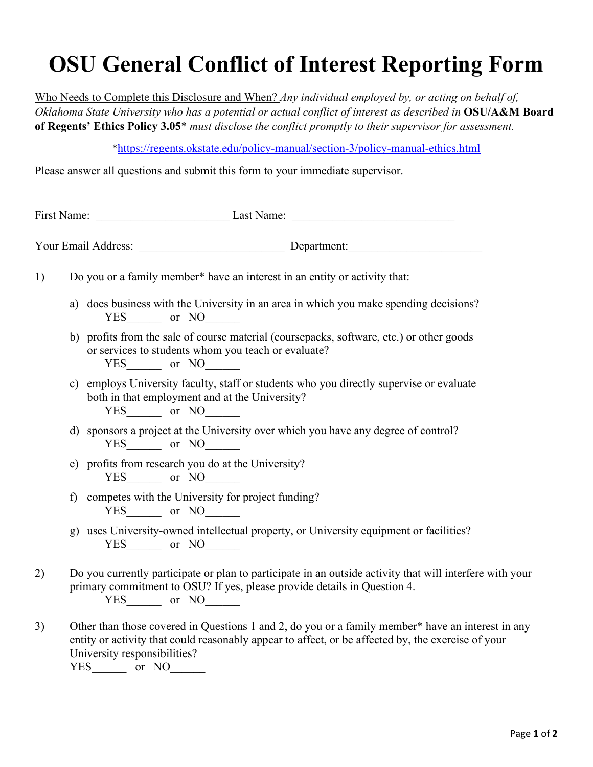## **OSU General Conflict of Interest Reporting Form**

Who Needs to Complete this Disclosure and When? *Any individual employed by, or acting on behalf of, Oklahoma State University who has a potential or actual conflict of interest as described in* **OSU/A&M Board of Regents' Ethics Policy 3.05**\* *must disclose the conflict promptly to their supervisor for assessment.*

\*[https://regents.okstate.edu/policy-manual/section-3/policy-manual-ethics.html](https://nam04.safelinks.protection.outlook.com/?url=https%3A%2F%2Fregents.okstate.edu%2Fpolicy-manual%2Fsection-3%2Fpolicy-manual-ethics.html&data=04%7C01%7Crdiana%40okstate.edu%7C2180f809a30b4c41c46f08d95c4605d3%7C2a69c91de8494e34a230cdf8b27e1964%7C0%7C0%7C637642278115331276%7CUnknown%7CTWFpbGZsb3d8eyJWIjoiMC4wLjAwMDAiLCJQIjoiV2luMzIiLCJBTiI6Ik1haWwiLCJXVCI6Mn0%3D%7C1000&sdata=nDCtxPyGuFAmd1STMiNxBej0Au2TYPM0IzaHcK6m6yk%3D&reserved=0)

Please answer all questions and submit this form to your immediate supervisor.

| First Name: |                     | Last Name:                                                                                                                                                                 |  |
|-------------|---------------------|----------------------------------------------------------------------------------------------------------------------------------------------------------------------------|--|
|             | Your Email Address: | Department:                                                                                                                                                                |  |
|             |                     | Do you or a family member* have an interest in an entity or activity that:                                                                                                 |  |
|             |                     | a) does business with the University in an area in which you make spending decisions?<br>YES or NO                                                                         |  |
|             | VEC.                | b) profits from the sale of course material (coursepacks, software, etc.) or other goods<br>or services to students whom you teach or evaluate?<br>$\sim$ $\sim$ $N\Omega$ |  |

YES or NO

- c) employs University faculty, staff or students who you directly supervise or evaluate both in that employment and at the University? YES or NO
- d) sponsors a project at the University over which you have any degree of control? YES or NO
- e) profits from research you do at the University? YES or NO
- f) competes with the University for project funding? YES or NO
- g) uses University-owned intellectual property, or University equipment or facilities? YES\_\_\_\_\_\_ or NO\_\_\_\_\_
- 2) Do you currently participate or plan to participate in an outside activity that will interfere with your primary commitment to OSU? If yes, please provide details in Question 4. YES or NO
- 3) Other than those covered in Questions 1 and 2, do you or a family member\* have an interest in any entity or activity that could reasonably appear to affect, or be affected by, the exercise of your University responsibilities? YES\_\_\_\_\_\_\_ or NO\_\_\_\_\_\_